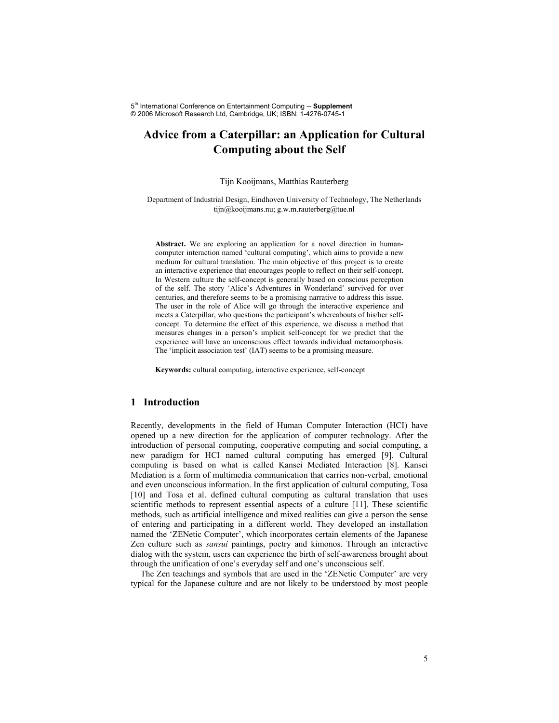5th International Conference on Entertainment Computing -- **Supplement** © 2006 Microsoft Research Ltd, Cambridge, UK; ISBN: 1-4276-0745-1

# **Advice from a Caterpillar: an Application for Cultural Computing about the Self**

#### Tijn Kooijmans, Matthias Rauterberg

Department of Industrial Design, Eindhoven University of Technology, The Netherlands tijn@kooijmans.nu; g.w.m.rauterberg@tue.nl

Abstract. We are exploring an application for a novel direction in humancomputer interaction named 'cultural computing', which aims to provide a new medium for cultural translation. The main objective of this project is to create an interactive experience that encourages people to reflect on their self-concept. In Western culture the self-concept is generally based on conscious perception of the self. The story 'Alice's Adventures in Wonderland' survived for over centuries, and therefore seems to be a promising narrative to address this issue. The user in the role of Alice will go through the interactive experience and meets a Caterpillar, who questions the participant's whereabouts of his/her selfconcept. To determine the effect of this experience, we discuss a method that measures changes in a person's implicit self-concept for we predict that the experience will have an unconscious effect towards individual metamorphosis. The 'implicit association test' (IAT) seems to be a promising measure.

**Keywords:** cultural computing, interactive experience, self-concept

### **1 Introduction**

Recently, developments in the field of Human Computer Interaction (HCI) have opened up a new direction for the application of computer technology. After the introduction of personal computing, cooperative computing and social computing, a new paradigm for HCI named cultural computing has emerged [9]. Cultural computing is based on what is called Kansei Mediated Interaction [8]. Kansei Mediation is a form of multimedia communication that carries non-verbal, emotional and even unconscious information. In the first application of cultural computing, Tosa [10] and Tosa et al. defined cultural computing as cultural translation that uses scientific methods to represent essential aspects of a culture [11]. These scientific methods, such as artificial intelligence and mixed realities can give a person the sense of entering and participating in a different world. They developed an installation named the 'ZENetic Computer', which incorporates certain elements of the Japanese Zen culture such as *sansui* paintings, poetry and kimonos. Through an interactive dialog with the system, users can experience the birth of self-awareness brought about through the unification of one's everyday self and one's unconscious self.

The Zen teachings and symbols that are used in the 'ZENetic Computer' are very typical for the Japanese culture and are not likely to be understood by most people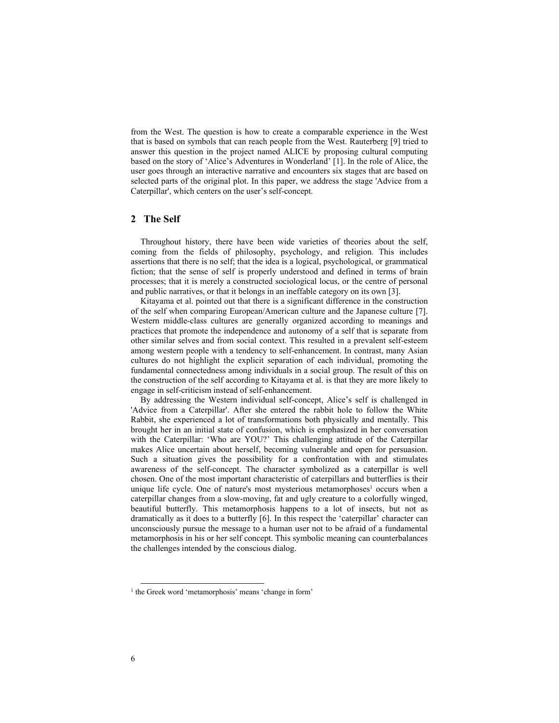from the West. The question is how to create a comparable experience in the West that is based on symbols that can reach people from the West. Rauterberg [9] tried to answer this question in the project named ALICE by proposing cultural computing based on the story of 'Alice's Adventures in Wonderland' [1]. In the role of Alice, the user goes through an interactive narrative and encounters six stages that are based on selected parts of the original plot. In this paper, we address the stage 'Advice from a Caterpillar', which centers on the user's self-concept.

#### **2 The Self**

Throughout history, there have been wide varieties of theories about the self, coming from the fields of philosophy, psychology, and religion. This includes assertions that there is no self; that the idea is a logical, psychological, or grammatical fiction; that the sense of self is properly understood and defined in terms of brain processes; that it is merely a constructed sociological locus, or the centre of personal and public narratives, or that it belongs in an ineffable category on its own [3].

Kitayama et al. pointed out that there is a significant difference in the construction of the self when comparing European/American culture and the Japanese culture [7]. Western middle-class cultures are generally organized according to meanings and practices that promote the independence and autonomy of a self that is separate from other similar selves and from social context. This resulted in a prevalent self-esteem among western people with a tendency to self-enhancement. In contrast, many Asian cultures do not highlight the explicit separation of each individual, promoting the fundamental connectedness among individuals in a social group. The result of this on the construction of the self according to Kitayama et al. is that they are more likely to engage in self-criticism instead of self-enhancement.

By addressing the Western individual self-concept, Alice's self is challenged in 'Advice from a Caterpillar'. After she entered the rabbit hole to follow the White Rabbit, she experienced a lot of transformations both physically and mentally. This brought her in an initial state of confusion, which is emphasized in her conversation with the Caterpillar: 'Who are YOU?' This challenging attitude of the Caterpillar makes Alice uncertain about herself, becoming vulnerable and open for persuasion. Such a situation gives the possibility for a confrontation with and stimulates awareness of the self-concept. The character symbolized as a caterpillar is well chosen. One of the most important characteristic of caterpillars and butterflies is their unique life cycle. One of nature's most mysterious metamorphoses<sup>1</sup> occurs when a caterpillar changes from a slow-moving, fat and ugly creature to a colorfully winged, beautiful butterfly. This metamorphosis happens to a lot of insects, but not as dramatically as it does to a butterfly [6]. In this respect the 'caterpillar' character can unconsciously pursue the message to a human user not to be afraid of a fundamental metamorphosis in his or her self concept. This symbolic meaning can counterbalances the challenges intended by the conscious dialog.

 <sup>1</sup> the Greek word 'metamorphosis' means 'change in form'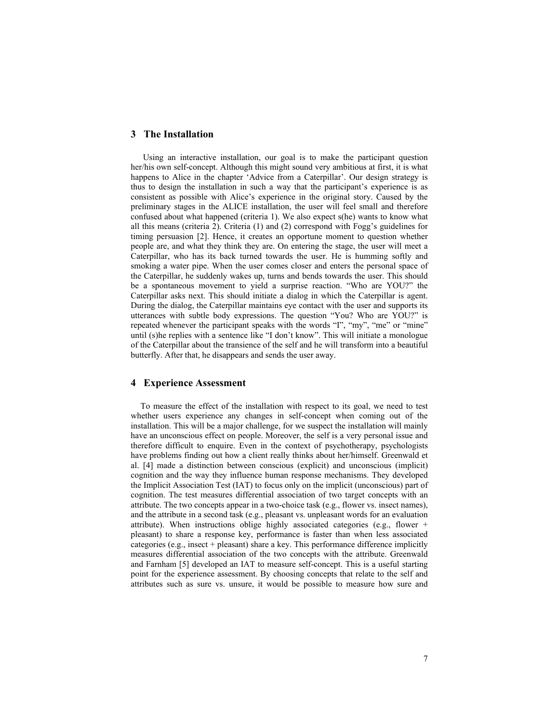#### **3 The Installation**

Using an interactive installation, our goal is to make the participant question her/his own self-concept. Although this might sound very ambitious at first, it is what happens to Alice in the chapter 'Advice from a Caterpillar'. Our design strategy is thus to design the installation in such a way that the participant's experience is as consistent as possible with Alice's experience in the original story. Caused by the preliminary stages in the ALICE installation, the user will feel small and therefore confused about what happened (criteria 1). We also expect s(he) wants to know what all this means (criteria 2). Criteria (1) and (2) correspond with Fogg's guidelines for timing persuasion [2]. Hence, it creates an opportune moment to question whether people are, and what they think they are. On entering the stage, the user will meet a Caterpillar, who has its back turned towards the user. He is humming softly and smoking a water pipe. When the user comes closer and enters the personal space of the Caterpillar, he suddenly wakes up, turns and bends towards the user. This should be a spontaneous movement to yield a surprise reaction. "Who are YOU?" the Caterpillar asks next. This should initiate a dialog in which the Caterpillar is agent. During the dialog, the Caterpillar maintains eye contact with the user and supports its utterances with subtle body expressions. The question "You? Who are YOU?" is repeated whenever the participant speaks with the words "I", "my", "me" or "mine" until (s)he replies with a sentence like "I don't know". This will initiate a monologue of the Caterpillar about the transience of the self and he will transform into a beautiful butterfly. After that, he disappears and sends the user away.

#### **4 Experience Assessment**

To measure the effect of the installation with respect to its goal, we need to test whether users experience any changes in self-concept when coming out of the installation. This will be a major challenge, for we suspect the installation will mainly have an unconscious effect on people. Moreover, the self is a very personal issue and therefore difficult to enquire. Even in the context of psychotherapy, psychologists have problems finding out how a client really thinks about her/himself. Greenwald et al. [4] made a distinction between conscious (explicit) and unconscious (implicit) cognition and the way they influence human response mechanisms. They developed the Implicit Association Test (IAT) to focus only on the implicit (unconscious) part of cognition. The test measures differential association of two target concepts with an attribute. The two concepts appear in a two-choice task (e.g., flower vs. insect names), and the attribute in a second task (e.g., pleasant vs. unpleasant words for an evaluation attribute). When instructions oblige highly associated categories (e.g., flower + pleasant) to share a response key, performance is faster than when less associated categories (e.g., insect  $+$  pleasant) share a key. This performance difference implicitly measures differential association of the two concepts with the attribute. Greenwald and Farnham [5] developed an IAT to measure self-concept. This is a useful starting point for the experience assessment. By choosing concepts that relate to the self and attributes such as sure vs. unsure, it would be possible to measure how sure and